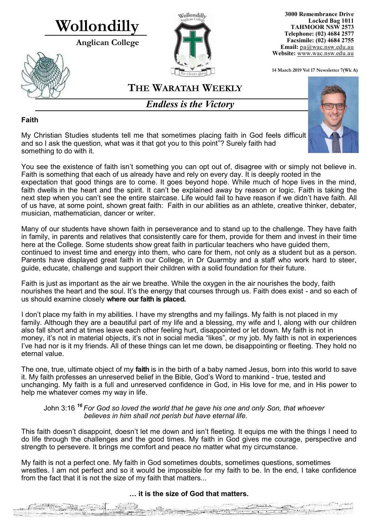# **Wollondilly**

musician, mathematician, dancer or writer.

 $\mathcal{R}_{\text{eff}} \cong \mathcal{E}$ 

 $\mathbb{R}^2$  and  $\mathbb{R}^2$ 

**Anglican College** 





**3000 Remembrance Drive Locked Bag 1011 TAHMOOR NSW 2573 Telephone: (02) 4684 2577 Facsimile: (02) 4684 2755 Email:** [pa@wac.nsw.edu.au](mailto:pa@wac.nsw.edu.au) **Website:** www.wac.nsw.edu.au

**14 March 2019 Vol 17 Newsletter 7(Wk A)** 

## **THE WARATAH WEEKLY**

*Endless is the Victory*

#### **Faith**

My Christian Studies students tell me that sometimes placing faith in God feels difficult and so I ask the question, what was it that got you to this point"? Surely faith had something to do with it.

You see the existence of faith isn't something you can opt out of, disagree with or simply not believe in. Faith is something that each of us already have and rely on every day. It is deeply rooted in the expectation that good things are to come. It goes beyond hope. While much of hope lives in the mind, faith dwells in the heart and the spirit. It can't be explained away by reason or logic. Faith is taking the next step when you can't see the entire staircase. Life would fail to have reason if we didn't have faith. All of us have, at some point, shown great faith: Faith in our abilities as an athlete, creative thinker, debater,

Many of our students have shown faith in perseverance and to stand up to the challenge. They have faith in family, in parents and relatives that consistently care for them, provide for them and invest in their time here at the College. Some students show great faith in particular teachers who have guided them, continued to invest time and energy into them, who care for them, not only as a student but as a person. Parents have displayed great faith in our College, in Dr Quarmby and a staff who work hard to steer, guide, educate, challenge and support their children with a solid foundation for their future.

Faith is just as important as the air we breathe. While the oxygen in the air nourishes the body, faith nourishes the heart and the soul. It's the energy that courses through us. Faith does exist - and so each of us should examine closely **where our faith is placed.**

I don't place my faith in my abilities. I have my strengths and my failings. My faith is not placed in my family. Although they are a beautiful part of my life and a blessing, my wife and I, along with our children also fall short and at times leave each other feeling hurt, disappointed or let down. My faith is not in money, it's not in material objects, it's not in social media "likes", or my job. My faith is not in experiences I've had nor is it my friends. All of these things can let me down, be disappointing or fleeting. They hold no eternal value.

The one, true, ultimate object of my **faith** is in the birth of a baby named Jesus, born into this world to save it. My faith professes an unreserved belief in the Bible, God's Word to mankind - true, tested and unchanging. My faith is a full and unreserved confidence in God, in His love for me, and in His power to help me whatever comes my way in life.

#### John 3:16 *<sup>16</sup> For God so loved the world that he gave his one and only Son, that whoever believes in him shall not perish but have eternal life.*

This faith doesn't disappoint, doesn't let me down and isn't fleeting. It equips me with the things I need to do life through the challenges and the good times. My faith in God gives me courage, perspective and strength to persevere. It brings me comfort and peace no matter what my circumstance.

My faith is not a perfect one. My faith in God sometimes doubts, sometimes questions, sometimes wrestles. I am not perfect and so it would be impossible for my faith to be. In the end, I take confidence from the fact that it is not the size of my faith that matters...

#### **… it is the size of God that matters.**

aensing

 $\overline{\mathbf{u}}$ 

 $-4x - 1 = 1$ 

de <sup>de</sup> C<del>harta</del>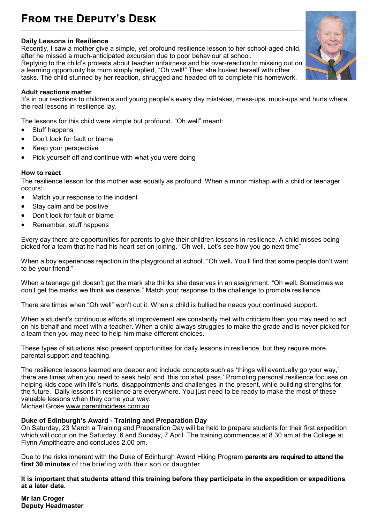#### **From the Deputy's Desk \_\_\_\_\_\_\_\_\_\_\_\_\_\_\_\_\_\_\_\_\_\_\_\_\_\_\_\_\_\_\_\_\_\_\_\_\_\_\_\_\_\_\_\_\_\_\_\_\_\_\_\_\_\_\_\_\_\_\_\_\_\_\_\_\_\_\_\_\_\_\_\_\_\_\_\_\_\_\_\_\_\_\_\_\_\_\_\_\_\_\_\_\_\_\_\_\_\_\_\_\_\_**

#### **Daily Lessons in Resilience**

Recently, I saw a mother give a simple, yet profound resilience lesson to her school-aged child, after he missed a much-anticipated excursion due to poor behaviour at school.

Replying to the child's protests about teacher unfairness and his over-reaction to missing out on a learning opportunity his mum simply replied, "Oh well!" Then she busied herself with other tasks. The child stunned by her reaction, shrugged and headed off to complete his homework.

#### **Adult reactions matter**

It's in our reactions to children's and young people's every day mistakes, mess-ups, muck-ups and hurts where the real lessons in resilience lay.

The lessons for this child were simple but profound. "Oh well" meant:

- Stuff happens
- Don't look for fault or blame
- Keep your perspective
- Pick yourself off and continue with what you were doing

#### **How to react**

The resilience lesson for this mother was equally as profound. When a minor mishap with a child or teenager occurs:

- Match your response to the incident
- Stay calm and be positive
- Don't look for fault or blame
- Remember, stuff happens

Every day there are opportunities for parents to give their children lessons in resilience. A child misses being picked for a team that he had his heart set on joining. "Oh well**.** Let's see how you go next time"

When a boy experiences rejection in the playground at school. "Oh well**.** You'll find that some people don't want to be your friend."

When a teenage girl doesn't get the mark she thinks she deserves in an assignment. "Oh well**.** Sometimes we don't get the marks we think we deserve." Match your response to the challenge to promote resilience.

There are times when "Oh well" won't cut it. When a child is bullied he needs your continued support.

When a student's continuous efforts at improvement are constantly met with criticism then you may need to act on his behalf and meet with a teacher. When a child always struggles to make the grade and is never picked for a team then you may need to help him make different choices.

These types of situations also present opportunities for daily lessons in resilience, but they require more parental support and teaching.

The resilience lessons learned are deeper and include concepts such as 'things will eventually go your way,' there are times when you need to seek help' and 'this too shall pass.' Promoting personal resilience focuses on helping kids cope with life's hurts, disappointments and challenges in the present, while building strengths for the future. Daily lessons in resilience are everywhere. You just need to be ready to make the most of these valuable lessons when they come your way.

Michael Grose [www.parentingideas.com.au](http://www.parentingideas.com.au)

#### **Duke of Edinburgh's Award - Training and Preparation Day**

On Saturday, 23 March a Training and Preparation Day will be held to prepare students for their first expedition which will occur on the Saturday, 6 and Sunday, 7 April. The training commences at 8.30 am at the College at Flynn Ampitheatre and concludes 2.00 pm.

Due to the risks inherent with the Duke of Edinburgh Award Hiking Program **parents are required to attend the first 30 minutes** of the briefing with their son or daughter.

**It is important that students attend this training before they participate in the expedition or expeditions at a later date.**

**Mr Ian Croger Deputy Headmaster** 

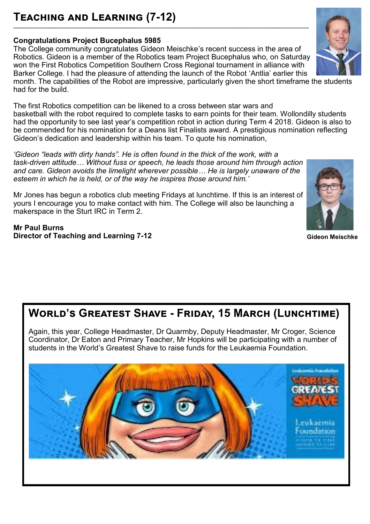## **Teaching and Learning (7-12)**

#### **Congratulations Project Bucephalus 5985**

The College community congratulates Gideon Meischke's recent success in the area of Robotics. Gideon is a member of the Robotics team Project Bucephalus who, on Saturday won the First Robotics Competition Southern Cross Regional tournament in alliance with Barker College. I had the pleasure of attending the launch of the Robot 'Antlia' earlier this

**\_\_\_\_\_\_\_\_\_\_\_\_\_\_\_\_\_\_\_\_\_\_\_\_\_\_\_\_\_\_\_\_\_\_\_\_\_\_\_\_\_\_\_\_\_\_\_\_\_\_\_\_\_\_\_\_\_\_\_\_\_\_\_\_\_\_\_\_\_\_\_\_\_\_\_\_\_\_\_\_\_\_\_\_\_\_\_\_\_\_\_\_\_\_\_\_\_\_\_\_\_\_\_\_\_\_\_** 

month. The capabilities of the Robot are impressive, particularly given the short timeframe the students had for the build.

The first Robotics competition can be likened to a cross between star wars and basketball with the robot required to complete tasks to earn points for their team. Wollondilly students had the opportunity to see last year's competition robot in action during Term 4 2018. Gideon is also to be commended for his nomination for a Deans list Finalists award. A prestigious nomination reflecting Gideon's dedication and leadership within his team. To quote his nomination,

*'Gideon "leads with dirty hands". He is often found in the thick of the work, with a task-driven attitude… Without fuss or speech, he leads those around him through action and care. Gideon avoids the limelight wherever possible… He is largely unaware of the esteem in which he is held, or of the way he inspires those around him.'*

Mr Jones has begun a robotics club meeting Fridays at lunchtime. If this is an interest of yours I encourage you to make contact with him. The College will also be launching a makerspace in the Sturt IRC in Term 2.

**Mr Paul Burns Director of Teaching and Learning 7-12**

## **World's Greatest Shave - Friday, 15 March (Lunchtime)**

Again, this year, College Headmaster, Dr Quarmby, Deputy Headmaster, Mr Croger, Science Coordinator, Dr Eaton and Primary Teacher, Mr Hopkins will be participating with a number of students in the World's Greatest Shave to raise funds for the Leukaemia Foundation.







 **Gideon Meischke**

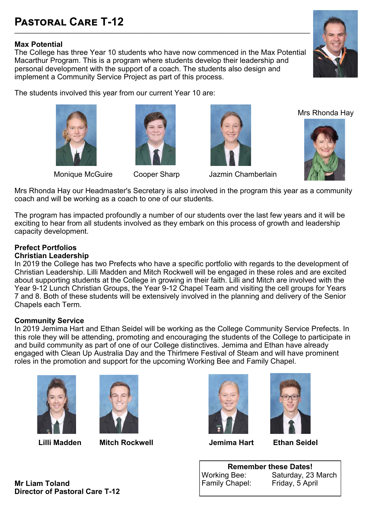## **Pastoral Care T-12**

#### **Max Potential**

The College has three Year 10 students who have now commenced in the Max Potential Macarthur Program. This is a program where students develop their leadership and personal development with the support of a coach. The students also design and implement a Community Service Project as part of this process.

**\_\_\_\_\_\_\_\_\_\_\_\_\_\_\_\_\_\_\_\_\_\_\_\_\_\_\_\_\_\_\_\_\_\_\_\_\_\_\_\_\_\_\_\_\_\_\_\_\_\_\_\_\_\_\_\_\_\_\_\_\_\_\_\_\_\_\_\_\_\_\_\_\_\_\_\_\_\_\_\_\_\_\_\_\_\_\_\_\_\_\_\_\_\_\_\_\_\_\_\_\_\_\_\_\_\_\_** 

The students involved this year from our current Year 10 are:









Monique McGuire Cooper Sharp Jazmin Chamberlain

Mrs Rhonda Hay



Mrs Rhonda Hay our Headmaster's Secretary is also involved in the program this year as a community coach and will be working as a coach to one of our students.

The program has impacted profoundly a number of our students over the last few years and it will be exciting to hear from all students involved as they embark on this process of growth and leadership capacity development.

#### **Prefect Portfolios**

#### **Christian Leadership**

In 2019 the College has two Prefects who have a specific portfolio with regards to the development of Christian Leadership. Lilli Madden and Mitch Rockwell will be engaged in these roles and are excited about supporting students at the College in growing in their faith. Lilli and Mitch are involved with the Year 9-12 Lunch Christian Groups, the Year 9-12 Chapel Team and visiting the cell groups for Years 7 and 8. Both of these students will be extensively involved in the planning and delivery of the Senior Chapels each Term.

#### **Community Service**

In 2019 Jemima Hart and Ethan Seidel will be working as the College Community Service Prefects. In this role they will be attending, promoting and encouraging the students of the College to participate in and build community as part of one of our College distinctives. Jemima and Ethan have already engaged with Clean Up Australia Day and the Thirlmere Festival of Steam and will have prominent roles in the promotion and support for the upcoming Working Bee and Family Chapel.





 **Lilli Madden Mitch Rockwell Jemima Hart Ethan Seidel**





**Remember these Dates!**<br>Working Bee: Saturday, 23 Saturday, 23 March<br>Friday, 5 April Family Chapel:

**Mr Liam Toland Director of Pastoral Care T-12**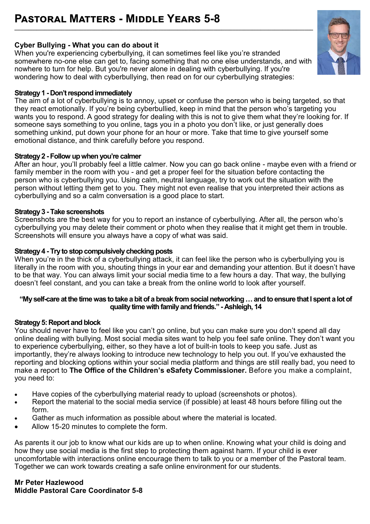## **Pastoral Matters - Middle Years 5-8**

#### **Cyber Bullying - What you can do about it**

When you're experiencing cyberbullying, it can sometimes feel like you're stranded somewhere no-one else can get to, facing something that no one else understands, and with nowhere to turn for help. But you're never alone in dealing with cyberbullying. If you're wondering how to deal with cyberbullying, then read on for our cyberbullying strategies:

**\_\_\_\_\_\_\_\_\_\_\_\_\_\_\_\_\_\_\_\_\_\_\_\_\_\_\_\_\_\_\_\_\_\_\_\_\_\_\_\_\_\_\_\_\_\_\_\_\_\_\_\_\_\_\_\_\_\_\_\_\_\_\_\_\_\_\_\_\_\_\_\_\_\_\_\_\_\_\_\_\_\_\_\_\_\_\_\_\_\_\_\_\_\_\_\_\_\_\_\_\_\_\_\_\_\_\_\_**

#### **Strategy 1 - Don't respond immediately**

The aim of a lot of cyberbullying is to annoy, upset or confuse the person who is being targeted, so that they react emotionally. If you're being cyberbullied, keep in mind that the person who's targeting you wants you to respond. A good strategy for dealing with this is not to give them what they're looking for. If someone says something to you online, tags you in a photo you don't like, or just generally does something unkind, put down your phone for an hour or more. Take that time to give yourself some emotional distance, and think carefully before you respond.

#### **Strategy 2 - Follow up when you're calmer**

After an hour, you'll probably feel a little calmer. Now you can go back online - maybe even with a friend or family member in the room with you - and get a proper feel for the situation before contacting the person who is cyberbullying you. Using calm, neutral language, try to work out the situation with the person without letting them get to you. They might not even realise that you interpreted their actions as cyberbullying and so a calm conversation is a good place to start.

#### **Strategy 3 - Take screenshots**

Screenshots are the best way for you to report an instance of cyberbullying. After all, the person who's cyberbullying you may delete their comment or photo when they realise that it might get them in trouble. Screenshots will ensure you always have a copy of what was said.

#### **Strategy 4 - Try to stop compulsively checking posts**

When you're in the thick of a cyberbullying attack, it can feel like the person who is cyberbullying you is literally in the room with you, shouting things in your ear and demanding your attention. But it doesn't have to be that way. You can always limit your social media time to a few hours a day. That way, the bullying doesn't feel constant, and you can take a break from the online world to look after yourself.

#### **"My self-care at the time was to take a bit of a break from social networking … and to ensure that I spent a lot of quality time with family and friends." - Ashleigh, 14**

#### **Strategy 5: Report and block**

You should never have to feel like you can't go online, but you can make sure you don't spend all day online dealing with bullying. Most social media sites want to help you feel safe online. They don't want you to experience cyberbullying, either, so they have a lot of built-in tools to keep you safe. Just as importantly, they're always looking to introduce new technology to help you out. If you've exhausted the reporting and blocking options within your social media platform and things are still really bad, you need to make a report to **[The Office of the Children](https://esafety.gov.au/)'s eSafety Commissioner.** Before you make a complaint, you need to:

- Have copies of the cyberbullying material ready to upload (screenshots or photos).
- Report the material to the social media service (if possible) at least 48 hours before filling out the form.
- Gather as much information as possible about where the material is located.
- Allow 15-20 minutes to complete the form.

As parents it our job to know what our kids are up to when online. Knowing what your child is doing and how they use social media is the first step to protecting them against harm. If your child is ever uncomfortable with interactions online encourage them to talk to you or a member of the Pastoral team. Together we can work towards creating a safe online environment for our students.

**Mr Peter Hazlewood Middle Pastoral Care Coordinator 5-8**

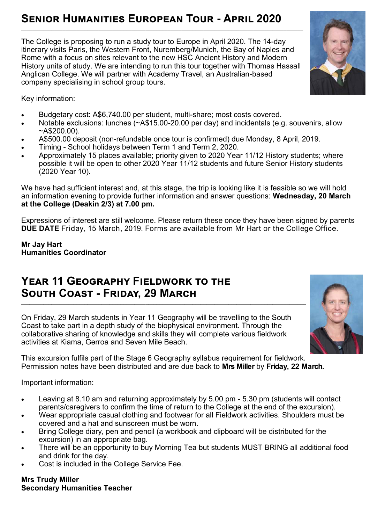#### **Senior Humanities European Tour - April 2020 \_\_\_\_\_\_\_\_\_\_\_\_\_\_\_\_\_\_\_\_\_\_\_\_\_\_\_\_\_\_\_\_\_\_\_\_\_\_\_\_\_\_\_\_\_\_\_\_\_\_\_\_\_\_\_\_\_\_\_\_\_\_\_\_\_\_\_\_\_\_\_\_\_\_\_\_\_\_\_\_\_\_\_\_\_\_\_\_\_\_\_\_\_\_\_\_\_\_\_\_\_\_**

The College is proposing to run a study tour to Europe in April 2020. The 14-day itinerary visits Paris, the Western Front, Nuremberg/Munich, the Bay of Naples and Rome with a focus on sites relevant to the new HSC Ancient History and Modern History units of study. We are intending to run this tour together with Thomas Hassall Anglican College. We will partner with Academy Travel, an Australian-based company specialising in school group tours.

Key information:

- Budgetary cost: A\$6,740.00 per student, multi-share; most costs covered.
- Notable exclusions: lunches (~A\$15.00-20.00 per day) and incidentals (e.g. souvenirs, allow  $~\sim$ A\$200.00).
- A\$500.00 deposit (non-refundable once tour is confirmed) due Monday, 8 April, 2019.
- Timing School holidays between Term 1 and Term 2, 2020.
- Approximately 15 places available; priority given to 2020 Year 11/12 History students; where possible it will be open to other 2020 Year 11/12 students and future Senior History students (2020 Year 10).

We have had sufficient interest and, at this stage, the trip is looking like it is feasible so we will hold an information evening to provide further information and answer questions: **Wednesday, 20 March at the College (Deakin 2/3) at 7.00 pm.**

Expressions of interest are still welcome. Please return these once they have been signed by parents **DUE DATE** Friday, 15 March, 2019. Forms are available from Mr Hart or the College Office.

#### **Mr Jay Hart Humanities Coordinator**

### **Year 11 Geography Fieldwork to the South Coast - Friday, 29 March \_\_\_\_\_\_\_\_\_\_\_\_\_\_\_\_\_\_\_\_\_\_\_\_\_\_\_\_\_\_\_\_\_\_\_\_\_\_\_\_\_\_\_\_\_\_\_\_\_\_\_\_\_\_\_\_\_\_\_\_\_\_\_\_\_\_\_\_\_\_\_\_\_\_\_\_\_\_\_\_\_\_\_\_\_\_\_\_\_\_\_\_\_\_\_\_\_\_\_\_\_\_\_**

On Friday, 29 March students in Year 11 Geography will be travelling to the South Coast to take part in a depth study of the biophysical environment. Through the collaborative sharing of knowledge and skills they will complete various fieldwork activities at Kiama, Gerroa and Seven Mile Beach.

This excursion fulfils part of the Stage 6 Geography syllabus requirement for fieldwork. Permission notes have been distributed and are due back to **Mrs Miller** by **Friday, 22 March.**

Important information:

- Leaving at 8.10 am and returning approximately by 5.00 pm 5.30 pm (students will contact parents/caregivers to confirm the time of return to the College at the end of the excursion).
- Wear appropriate casual clothing and footwear for all Fieldwork activities. Shoulders must be covered and a hat and sunscreen must be worn.
- Bring College diary, pen and pencil (a workbook and clipboard will be distributed for the excursion) in an appropriate bag.
- There will be an opportunity to buy Morning Tea but students MUST BRING all additional food and drink for the day.
- Cost is included in the College Service Fee.

#### **Mrs Trudy Miller Secondary Humanities Teacher**



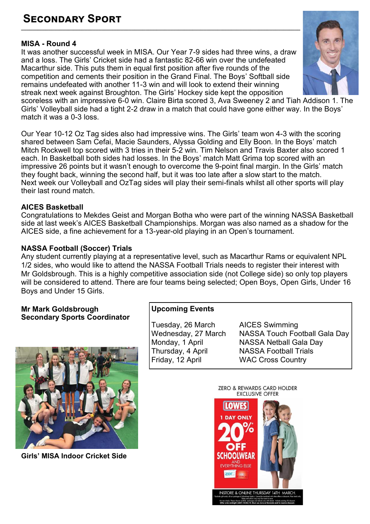#### **Secondary Sport \_\_\_\_\_\_\_\_\_\_\_\_\_\_\_\_\_\_\_\_\_\_\_\_\_\_\_\_\_\_\_\_\_\_\_\_\_\_\_\_\_\_\_\_\_\_\_\_\_\_\_\_\_\_\_\_\_\_\_\_\_\_\_\_\_\_\_\_\_\_\_\_\_\_\_\_\_\_\_\_\_\_\_\_\_\_\_\_\_\_\_\_\_\_\_\_\_\_\_\_\_**

#### **MISA - Round 4**

It was another successful week in MISA. Our Year 7-9 sides had three wins, a draw and a loss. The Girls' Cricket side had a fantastic 82-66 win over the undefeated Macarthur side. This puts them in equal first position after five rounds of the competition and cements their position in the Grand Final. The Boys' Softball side remains undefeated with another 11-3 win and will look to extend their winning streak next week against Broughton. The Girls' Hockey side kept the opposition



scoreless with an impressive 6-0 win. Claire Birta scored 3, Ava Sweeney 2 and Tiah Addison 1. The Girls' Volleyball side had a tight 2-2 draw in a match that could have gone either way. In the Boys' match it was a 0-3 loss.

Our Year 10-12 Oz Tag sides also had impressive wins. The Girls' team won 4-3 with the scoring shared between Sam Cefai, Macie Saunders, Alyssa Golding and Elly Boon. In the Boys' match Mitch Rockwell top scored with 3 tries in their 5-2 win. Tim Nelson and Travis Baxter also scored 1 each. In Basketball both sides had losses. In the Boys' match Matt Grima top scored with an impressive 26 points but it wasn't enough to overcome the 9-point final margin. In the Girls' match they fought back, winning the second half, but it was too late after a slow start to the match. Next week our Volleyball and OzTag sides will play their semi-finals whilst all other sports will play their last round match.

#### **AICES Basketball**

Congratulations to Mekdes Geist and Morgan Botha who were part of the winning NASSA Basketball side at last week's AICES Basketball Championships. Morgan was also named as a shadow for the AICES side, a fine achievement for a 13-year-old playing in an Open's tournament.

#### **NASSA Football (Soccer) Trials**

Any student currently playing at a representative level, such as Macarthur Rams or equivalent NPL 1/2 sides, who would like to attend the NASSA Football Trials needs to register their interest with Mr Goldsbrough. This is a highly competitive association side (not College side) so only top players will be considered to attend. There are four teams being selected; Open Boys, Open Girls, Under 16 Boys and Under 15 Girls.

#### **Mr Mark Goldsbrough Secondary Sports Coordinator**



**Girls' MISA Indoor Cricket Side**

#### **Upcoming Events**

Tuesday, 26 March AICES Swimming Friday, 12 April WAC Cross Country

Wednesday, 27 March NASSA Touch Football Gala Day<br>Monday, 1 April NASSA Netball Gala Day Monday, 1 April NASSA Netball Gala Day **NASSA Football Trials** 

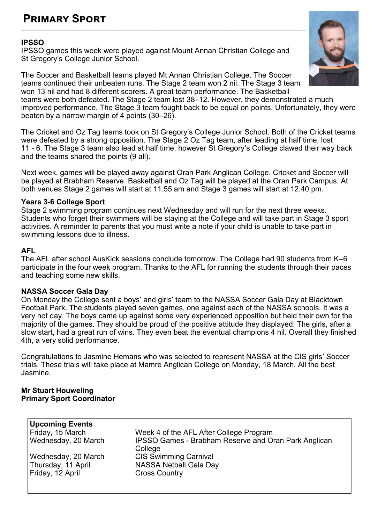#### **Primary Sport \_\_\_\_\_\_\_\_\_\_\_\_\_\_\_\_\_\_\_\_\_\_\_\_\_\_\_\_\_\_\_\_\_\_\_\_\_\_\_\_\_\_\_\_\_\_\_\_\_\_\_\_\_\_\_\_\_\_\_\_\_\_\_\_\_\_\_\_\_\_\_\_\_\_\_\_\_\_\_\_\_\_\_\_\_\_\_\_\_\_\_\_\_\_\_\_\_\_\_\_\_\_\_**

#### **IPSSO**

IPSSO games this week were played against Mount Annan Christian College and St Gregory's College Junior School.

The Soccer and Basketball teams played Mt Annan Christian College. The Soccer teams continued their unbeaten runs. The Stage 2 team won 2 nil. The Stage 3 team won 13 nil and had 8 different scorers. A great team performance. The Basketball teams were both defeated. The Stage 2 team lost 38–12. However, they demonstrated a much

improved performance. The Stage 3 team fought back to be equal on points. Unfortunately, they were beaten by a narrow margin of 4 points (30–26).

The Cricket and Oz Tag teams took on St Gregory's College Junior School. Both of the Cricket teams were defeated by a strong opposition. The Stage 2 Oz Tag team, after leading at half time, lost 11 - 6. The Stage 3 team also lead at half time, however St Gregory's College clawed their way back and the teams shared the points (9 all).

Next week, games will be played away against Oran Park Anglican College. Cricket and Soccer will be played at Brabham Reserve. Basketball and Oz Tag will be played at the Oran Park Campus. At both venues Stage 2 games will start at 11.55 am and Stage 3 games will start at 12.40 pm.

#### **Years 3-6 College Sport**

Stage 2 swimming program continues next Wednesday and will run for the next three weeks. Students who forget their swimmers will be staying at the College and will take part in Stage 3 sport activities. A reminder to parents that you must write a note if your child is unable to take part in swimming lessons due to illness.

#### **AFL**

The AFL after school AusKick sessions conclude tomorrow. The College had 90 students from K–6 participate in the four week program. Thanks to the AFL for running the students through their paces and teaching some new skills.

#### **NASSA Soccer Gala Day**

On Monday the College sent a boys' and girls' team to the NASSA Soccer Gala Day at Blacktown Football Park. The students played seven games, one against each of the NASSA schools. It was a very hot day. The boys came up against some very experienced opposition but held their own for the majority of the games. They should be proud of the positive attitude they displayed. The girls, after a slow start, had a great run of wins. They even beat the eventual champions 4 nil. Overall they finished 4th, a very solid performance.

Congratulations to Jasmine Hemans who was selected to represent NASSA at the CIS girls' Soccer trials. These trials will take place at Mamre Anglican College on Monday, 18 March. All the best Jasmine.

#### **Mr Stuart Houweling Primary Sport Coordinator**

| <b>Upcoming Events</b> |                                                             |
|------------------------|-------------------------------------------------------------|
| Friday, 15 March       | Week 4 of the AFL After College Program                     |
| Wednesday, 20 March    | <b>IPSSO Games - Brabham Reserve and Oran Park Anglican</b> |
|                        | College                                                     |
| Wednesday, 20 March    | <b>CIS Swimming Carnival</b>                                |
| Thursday, 11 April     | <b>NASSA Netball Gala Day</b>                               |
| Friday, 12 April       | <b>Cross Country</b>                                        |
|                        |                                                             |

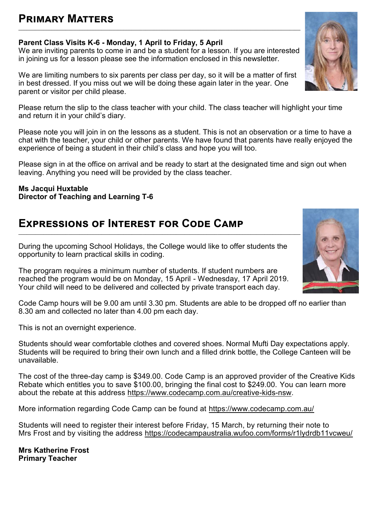#### **Primary Matters** \_\_\_\_\_\_\_\_\_\_\_\_\_\_\_\_\_\_\_\_\_\_\_\_\_\_\_\_\_\_\_\_\_\_\_\_\_\_\_\_\_\_\_\_\_\_\_\_\_\_\_\_\_\_\_\_\_\_\_\_\_\_\_\_\_\_\_\_\_\_\_\_\_\_\_\_\_\_\_\_\_\_\_\_\_\_\_\_\_\_\_\_\_\_\_\_\_\_\_\_\_\_

#### **Parent Class Visits K-6 - Monday, 1 April to Friday, 5 April**

We are inviting parents to come in and be a student for a lesson. If you are interested in joining us for a lesson please see the information enclosed in this newsletter.

We are limiting numbers to six parents per class per day, so it will be a matter of first in best dressed. If you miss out we will be doing these again later in the year. One parent or visitor per child please.

Please return the slip to the class teacher with your child. The class teacher will highlight your time and return it in your child's diary.

Please note you will join in on the lessons as a student. This is not an observation or a time to have a chat with the teacher, your child or other parents. We have found that parents have really enjoyed the experience of being a student in their child's class and hope you will too.

Please sign in at the office on arrival and be ready to start at the designated time and sign out when leaving. Anything you need will be provided by the class teacher.

#### **Ms Jacqui Huxtable Director of Teaching and Learning T-6**

## **Expressions of Interest for Code Camp**

During the upcoming School Holidays, the College would like to offer students the opportunity to learn practical skills in coding.

\_\_\_\_\_\_\_\_\_\_\_\_\_\_\_\_\_\_\_\_\_\_\_\_\_\_\_\_\_\_\_\_\_\_\_\_\_\_\_\_\_\_\_\_\_\_\_\_\_\_\_\_\_\_\_\_\_\_\_\_\_\_\_\_\_\_\_\_\_\_\_\_\_\_\_\_\_\_\_\_\_\_\_\_\_\_\_\_\_\_\_\_\_\_\_\_\_\_\_\_\_\_

The program requires a minimum number of students. If student numbers are reached the program would be on Monday, 15 April - Wednesday, 17 April 2019. Your child will need to be delivered and collected by private transport each day.

Code Camp hours will be 9.00 am until 3.30 pm. Students are able to be dropped off no earlier than 8.30 am and collected no later than 4.00 pm each day.

This is not an overnight experience.

Students should wear comfortable clothes and covered shoes. Normal Mufti Day expectations apply. Students will be required to bring their own lunch and a filled drink bottle, the College Canteen will be unavailable.

The cost of the three-day camp is \$349.00. Code Camp is an approved provider of the Creative Kids Rebate which entitles you to save \$100.00, bringing the final cost to \$249.00. You can learn more about the rebate at this address [https://www.codecamp.com.au/creative](https://www.codecamp.com.au/creative-kids-nsw)-kids-nsw.

More information regarding Code Camp can be found at <https://www.codecamp.com.au/>

Students will need to register their interest before Friday, 15 March, by returning their note to Mrs Frost and by visiting the address <https://codecampaustralia.wufoo.com/forms/r1lydrdb11vcweu/>

**Mrs Katherine Frost Primary Teacher**



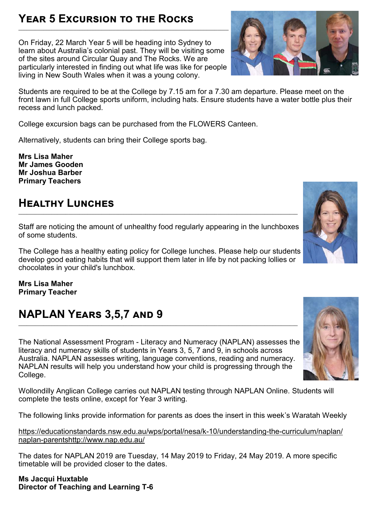#### **Year 5 Excursion to the Rocks** \_\_\_\_\_\_\_\_\_\_\_\_\_\_\_\_\_\_\_\_\_\_\_\_\_\_\_\_\_\_\_\_\_\_\_\_\_\_\_\_\_\_\_\_\_\_\_\_\_\_\_\_\_\_\_\_\_\_\_\_\_\_\_\_\_\_\_\_\_\_\_\_\_\_\_\_

On Friday, 22 March Year 5 will be heading into Sydney to learn about Australia's colonial past. They will be visiting some of the sites around Circular Quay and The Rocks. We are particularly interested in finding out what life was like for people living in New South Wales when it was a young colony.

Students are required to be at the College by 7.15 am for a 7.30 am departure. Please meet on the front lawn in full College sports uniform, including hats. Ensure students have a water bottle plus their recess and lunch packed.

College excursion bags can be purchased from the FLOWERS Canteen.

Alternatively, students can bring their College sports bag.

**Mrs Lisa Maher Mr James Gooden Mr Joshua Barber Primary Teachers** 

#### **Healthy Lunches** \_\_\_\_\_\_\_\_\_\_\_\_\_\_\_\_\_\_\_\_\_\_\_\_\_\_\_\_\_\_\_\_\_\_\_\_\_\_\_\_\_\_\_\_\_\_\_\_\_\_\_\_\_\_\_\_\_\_\_\_\_\_\_\_\_\_\_\_\_\_\_\_\_\_\_\_\_\_\_\_\_\_\_\_\_\_\_\_\_\_\_\_\_\_\_\_\_\_\_\_\_

Staff are noticing the amount of unhealthy food regularly appearing in the lunchboxes of some students.

The College has a healthy eating policy for College lunches. Please help our students develop good eating habits that will support them later in life by not packing lollies or chocolates in your child's lunchbox.

**Mrs Lisa Maher Primary Teacher**

#### **NAPLAN Years 3,5,7 and 9**   $\_$  , and the state of the state of the state of the state of the state of the state of the state of the state of the state of the state of the state of the state of the state of the state of the state of the state of the

The National Assessment Program - Literacy and Numeracy (NAPLAN) assesses the literacy and numeracy skills of students in Years 3, 5, 7 and 9, in schools across Australia. NAPLAN assesses writing, language conventions, reading and numeracy. NAPLAN results will help you understand how your child is progressing through the College.

Wollondilly Anglican College carries out NAPLAN testing through NAPLAN Online. Students will complete the tests online, except for Year 3 writing.

The following links provide information for parents as does the insert in this week's Waratah Weekly

[https://educationstandards.nsw.edu.au/wps/portal/nesa/k](https://educationstandards.nsw.edu.au/wps/portal/nesa/k-10/understanding-the-curriculum/naplan/naplan-parents)-10/understanding-the-curriculum/naplan/ naplan-[parentsh](https://educationstandards.nsw.edu.au/wps/portal/nesa/k-10/understanding-the-curriculum/naplan/naplan-parents)[ttp://www.nap.edu.au/](http://www.nap.edu.au/)

The dates for NAPLAN 2019 are Tuesday, 14 May 2019 to Friday, 24 May 2019. A more specific timetable will be provided closer to the dates.

**Ms Jacqui Huxtable Director of Teaching and Learning T-6**





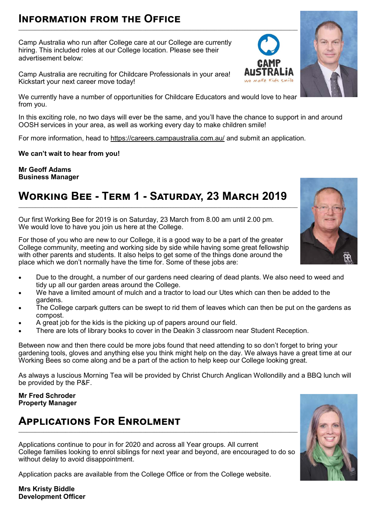## **Information from the Office**

Camp Australia who run after College care at our College are currently hiring. This included roles at our College location. Please see their advertisement below:

Camp Australia are recruiting for Childcare Professionals in your area! Kickstart your next career move today!

We currently have a number of opportunities for Childcare Educators and would love to hear from you.

In this exciting role, no two days will ever be the same, and you'll have the chance to support in and around OOSH services in your area, as well as working every day to make children smile!

For more information, head to [https://careers.campaustralia.com.au/ an](https://careers.campaustralia.com.au/)d submit an application.

**We can't wait to hear from you!** 

**Mr Geoff Adams Business Manager**

## **Working Bee - Term 1 - Saturday, 23 March 2019**

Our first Working Bee for 2019 is on Saturday, 23 March from 8.00 am until 2.00 pm. We would love to have you join us here at the College.

For those of you who are new to our College, it is a good way to be a part of the greater College community, meeting and working side by side while having some great fellowship with other parents and students. It also helps to get some of the things done around the place which we don't normally have the time for. Some of these jobs are:

- Due to the drought, a number of our gardens need clearing of dead plants. We also need to weed and tidy up all our garden areas around the College.
- We have a limited amount of mulch and a tractor to load our Utes which can then be added to the gardens.
- The College carpark gutters can be swept to rid them of leaves which can then be put on the gardens as compost.
- A great job for the kids is the picking up of papers around our field.
- There are lots of library books to cover in the Deakin 3 classroom near Student Reception.

Between now and then there could be more jobs found that need attending to so don't forget to bring your gardening tools, gloves and anything else you think might help on the day. We always have a great time at our Working Bees so come along and be a part of the action to help keep our College looking great.

As always a luscious Morning Tea will be provided by Christ Church Anglican Wollondilly and a BBQ lunch will be provided by the P&F.

#### **Mr Fred Schroder Property Manager**

## **Applications For Enrolment**

Applications continue to pour in for 2020 and across all Year groups. All current College families looking to enrol siblings for next year and beyond, are encouraged to do so without delay to avoid disappointment.

Application packs are available from the College Office or from the College website.

**Mrs Kristy Biddle Development Officer**







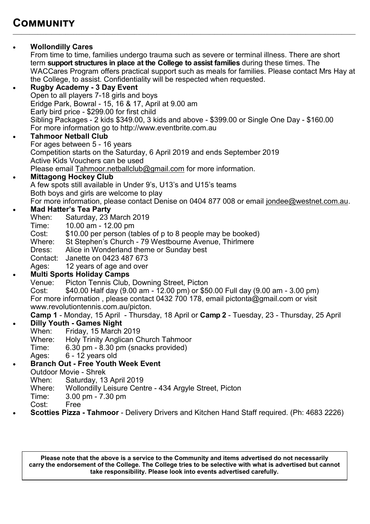## **Community**

#### **Wollondilly Cares**

From time to time, families undergo trauma such as severe or terminal illness. There are short term **support structures in place at the College to assist families** during these times. The WACCares Program offers practical support such as meals for families. Please contact Mrs Hay at the College, to assist. Confidentiality will be respected when requested.

 $\bot$  , and the set of the set of the set of the set of the set of the set of the set of the set of the set of the set of the set of the set of the set of the set of the set of the set of the set of the set of the set of t

 **Rugby Academy - 3 Day Event** Open to all players 7-18 girls and boys Eridge Park, Bowral - 15, 16 & 17, April at 9.00 am Early bird price - \$299.00 for first child Sibling Packages - 2 kids \$349.00, 3 kids and above - \$399.00 or Single One Day - \$160.00 For more information go to http://www.eventbrite.com.au

#### **Tahmoor Netball Club**

For ages between 5 - 16 years Competition starts on the Saturday, 6 April 2019 and ends September 2019 Active Kids Vouchers can be used Please email [Tahmoor.netballclub@gmail.com](mailto:Tahmoor.netballclub@gmail.com) for more information.

#### **Mittagong Hockey Club**

A few spots still available in Under 9's, U13's and U15's teams Both boys and girls are welcome to play For more information, please contact Denise on 0404 877 008 or email [jondee@westnet.com.au.](mailto:jondee@westnet.com.au)

#### **Mad Hatter's Tea Party**

- When: Saturday, 23 March 2019
- Time: 10.00 am 12.00 pm
- Cost: \$10.00 per person (tables of p to 8 people may be booked)<br>Where: St Stephen's Church 79 Westbourne Avenue. Thirlmere
- St Stephen's Church 79 Westbourne Avenue, Thirlmere
- Dress: Alice in Wonderland theme or Sunday best
- Contact: Janette on 0423 487 673

Ages: 12 years of age and over

#### **Multi Sports Holiday Camps**

- Venue: Picton Tennis Club, Downing Street, Picton
- Cost: \$40.00 Half day (9.00 am 12.00 pm) or \$50.00 Full day (9.00 am 3.00 pm) For more information , please contact 0432 700 178, email pictonta@gmail.com or visit www.revolutiontennis.com.au/picton.
- **Camp 1**  Monday, 15 April Thursday, 18 April or **Camp 2**  Tuesday, 23 Thursday, 25 April
- **Dilly Youth Games Night**<br>When: Friday, 15 March
	- Friday, 15 March 2019
	- Where: Holy Trinity Anglican Church Tahmoor
	- Time: 6.30 pm 8.30 pm (snacks provided)
		- Ages: 6 12 years old

#### **Branch Out - Free Youth Week Event**

- Outdoor Movie Shrek
	- When: Saturday, 13 April 2019
- Where: Wollondilly Leisure Centre 434 Argyle Street, Picton
- Time: 3.00 pm 7.30 pm
- Cost: Free
- **Scotties Pizza - Tahmoor**  Delivery Drivers and Kitchen Hand Staff required. (Ph: 4683 2226)

**Please note that the above is a service to the Community and items advertised do not necessarily carry the endorsement of the College. The College tries to be selective with what is advertised but cannot take responsibility. Please look into events advertised carefully.**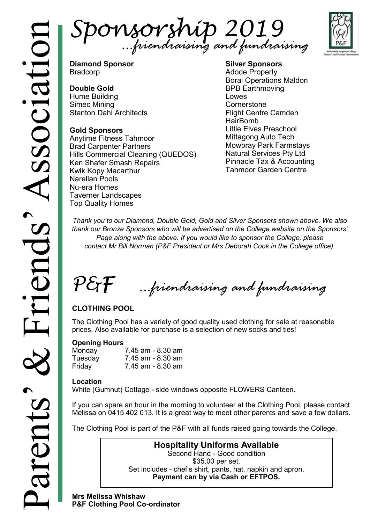Sponsorship 2019 *…friendraising and fundraising*



**Diamond Sponsor** Bradcorp

#### **Double Gold**

Hume Building Simec Mining Stanton Dahl Architects

#### **Gold Sponsors**

Anytime Fitness Tahmoor Brad Carpenter Partners Hills Commercial Cleaning (QUEDOS) Ken Shafer Smash Repairs Kwik Kopy Macarthur Narellan Pools Nu-era Homes Taverner Landscapes Top Quality Homes

**Silver Sponsors** Adode Property Boral Operations Maldon BPB Earthmoving Lowes **Cornerstone** Flight Centre Camden HairBomb Little Elves Preschool Mittagong Auto Tech Mowbray Park Farmstays Natural Services Pty Ltd Pinnacle Tax & Accounting Tahmoor Garden Centre

*Thank you to our Diamond, Double Gold, Gold and Silver Sponsors shown above. We also thank our Bronze Sponsors who will be advertised on the College website on the Sponsors' Page along with the above. If you would like to sponsor the College, please contact Mr Bill Norman (P&F President or Mrs Deborah Cook in the College office).*

P&F *…friendraising and fundraising*

## **CLOTHING POOL**

The Clothing Pool has a variety of good quality used clothing for sale at reasonable prices. Also available for purchase is a selection of new socks and ties!

#### **Opening Hours**

| Monday  | 7.45 am - 8.30 am |
|---------|-------------------|
| Tuesday | 7.45 am - 8.30 am |
| Friday  | 7.45 am - 8.30 am |

#### **Location**

White (Gumnut) Cottage - side windows opposite FLOWERS Canteen.

If you can spare an hour in the morning to volunteer at the Clothing Pool, please contact Melissa on 0415 402 013. It is a great way to meet other parents and save a few dollars.

The Clothing Pool is part of the P&F with all funds raised going towards the College.

**Hospitality Uniforms Available** Second Hand - Good condition \$35.00 per set. Set includes - chef's shirt, pants, hat, napkin and apron. **Payment can by via Cash or EFTPOS.**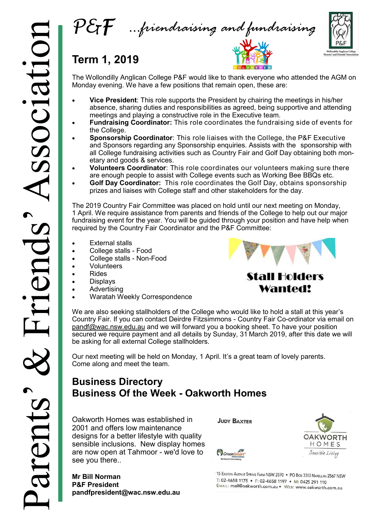



## **Term 1, 2019**

The Wollondilly Anglican College P&F would like to thank everyone who attended the AGM on Monday evening. We have a few positions that remain open, these are:

- **Vice President**: This role supports the President by chairing the meetings in his/her absence, sharing duties and responsibilities as agreed, being supportive and attending meetings and playing a constructive role in the Executive team.
- **Fundraising Coordinator:** This role coordinates the fundraising side of events for the College.
- **Sponsorship Coordinator**: This role liaises with the College, the P&F Executive and Sponsors regarding any Sponsorship enquiries. Assists with the sponsorship with all College fundraising activities such as Country Fair and Golf Day obtaining both monetary and goods & services.
- **Volunteers Coordinator**: This role coordinates our volunteers making sure there are enough people to assist with College events such as Working Bee BBQs etc.
- **Golf Day Coordinator:** This role coordinates the Golf Day, obtains sponsorship prizes and liaises with College staff and other stakeholders for the day.

The 2019 Country Fair Committee was placed on hold until our next meeting on Monday, 1 April. We require assistance from parents and friends of the College to help out our major fundraising event for the year. You will be guided through your position and have help when required by the Country Fair Coordinator and the P&F Committee:

- External stalls
- College stalls Food
- College stalls Non-Food
- Volunteers
- Rides
- Displays
- Advertising
- Waratah Weekly Correspondence



## **Stall Holders** Wanted!

We are also seeking stallholders of the College who would like to hold a stall at this year's Country Fair. If you can contact Deirdre Fitzsimmons - Country Fair Co-ordinator via email on [pandf@wac.nsw.edu.au a](mailto:pandf@wac.nsw.edu.au)nd we will forward you a booking sheet. To have your position secured we require payment and all details by Sunday, 31 March 2019, after this date we will be asking for all external College stallholders.

Our next meeting will be held on Monday, 1 April. It's a great team of lovely parents. Come along and meet the team.

## **Business Directory Business Of the Week - Oakworth Homes**

Oakworth Homes was established in 2001 and offers low maintenance designs for a better lifestyle with quality sensible inclusions. New display homes are now open at Tahmoor - we'd love to see you there..

**Mr Bill Norman P&F President pandfpresident@wac.nsw.edu.au** **JUDY BAXTER** 





15 EASTON AVENUE SPRING FARM NSW 2570 . PO BOX 3313 NARELLAN 2567 NSW T: 02-4658 1175 • F: 02-4658 1197 • M: 0425 291 110 EMAIL: mail@oakworth.com.au . WEB: www.oakworth.com.au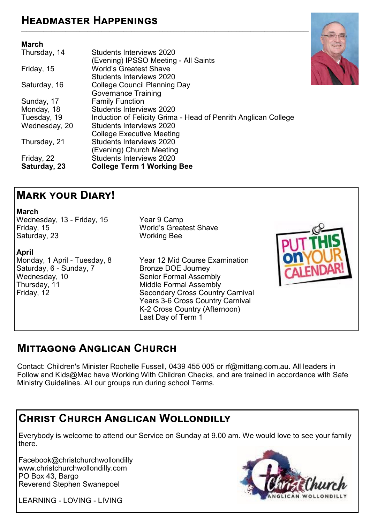## **Headmaster Happenings**

#### **March**

| Thursday, 14  | Students Interviews 2020                                       |
|---------------|----------------------------------------------------------------|
|               | (Evening) IPSSO Meeting - All Saints                           |
| Friday, 15    | <b>World's Greatest Shave</b>                                  |
|               | Students Interviews 2020                                       |
| Saturday, 16  | College Council Planning Day                                   |
|               | <b>Governance Training</b>                                     |
| Sunday, 17    | <b>Family Function</b>                                         |
| Monday, 18    | Students Interviews 2020                                       |
| Tuesday, 19   | Induction of Felicity Grima - Head of Penrith Anglican College |
| Wednesday, 20 | Students Interviews 2020                                       |
|               | <b>College Executive Meeting</b>                               |
| Thursday, 21  | Students Interviews 2020                                       |
|               | (Evening) Church Meeting                                       |
| Friday, 22    | Students Interviews 2020                                       |
| Saturday, 23  | <b>College Term 1 Working Bee</b>                              |
|               |                                                                |



### **March**  Wednesday, 13 - Friday, 15 Year 9 Camp<br>Friday, 15 Yorld's Great Saturday, 23

## **April**  Saturday, 6 - Sunday, 7<br>Wednesday, 10 Wednesday, 10 Senior Formal Assembly<br>
Thursday, 11 Middle Formal Assembly Thursday, 11 Middle Formal Assembly<br>Friday, 12 Secondary Cross Country

World's Greatest Shave<br>Working Bee

Monday, 1 April - Tuesday, 8 Year 12 Mid Course Examination<br>Saturday, 6 - Sunday, 7 Shonze DOE Journey **Secondary Cross Country Carnival**  Years 3-6 Cross Country Carnival K-2 Cross Country (Afternoon) Last Day of Term 1



## **Mittagong Anglican Church**

Contact: Children's Minister Rochelle Fussell, 0439 455 005 or [rf@mittang.com.au.](mailto:rf@mittang.com.au) All leaders in Follow and Kids@Mac have Working With Children Checks, and are trained in accordance with Safe Ministry Guidelines. All our groups run during school Terms.

## **Christ Church Anglican Wollondilly**

Everybody is welcome to attend our Service on Sunday at 9.00 am. We would love to see your family there.

Facebook@christchurchwollondilly [www.christchurchwollondilly.com](http://www.christchurchwollondilly.com)  PO Box 43, Bargo Reverend Stephen Swanepoel

LEARNING - LOVING - LIVING